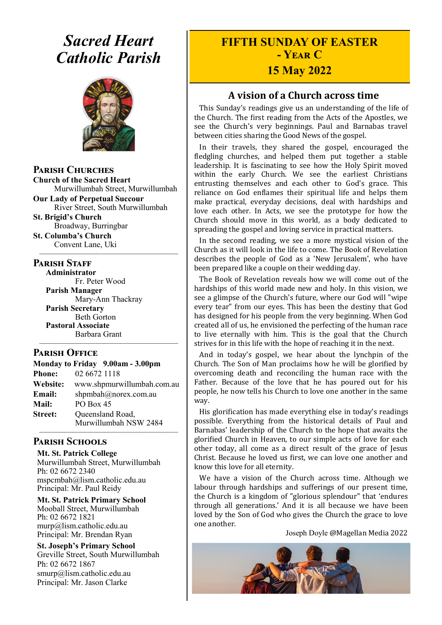# *Sacred Heart Catholic Parish*



**Parish Churches**

**Church of the Sacred Heart** Murwillumbah Street, Murwillumbah

**Our Lady of Perpetual Succour** River Street, South Murwillumbah

**St. Brigid's Church** Broadway, Burringbar **St. Columba's Church**

Convent Lane, Uki —————————————————

#### **PARISH STAFF**

**Administrator** Fr. Peter Wood **Parish Manager** Mary-Ann Thackray **Parish Secretary** Beth Gorton **Pastoral Associate** Barbara Grant

#### **Parish Office**

| Monday to Friday 9.00am - 3.00pm |                                           |
|----------------------------------|-------------------------------------------|
| <b>Phone:</b>                    | 02 6672 1118                              |
| Website:                         | www.shpmurwillumbah.com.au                |
| Email:                           | shpmbah@norex.com.au                      |
| <b>Mail:</b>                     | PO Box 45                                 |
| <b>Street:</b>                   | Queensland Road,<br>Murwillumbah NSW 2484 |
|                                  |                                           |

—————————————————

#### **Parish Schools**

**Mt. St. Patrick College** Murwillumbah Street, Murwillumbah Ph: 02 6672 2340 mspcmbah@lism.catholic.edu.au Principal: Mr. Paul Reidy

**Mt. St. Patrick Primary School** Mooball Street, Murwillumbah Ph: 02 6672 1821 murp@lism.catholic.edu.au Principal: Mr. Brendan Ryan

**St. Joseph's Primary School** Greville Street, South Murwillumbah Ph: 02 6672 1867 smurp@lism.catholic.edu.au Principal: Mr. Jason Clarke

# **FIFTH SUNDAY OF EASTER - Year C**

### **15 May 2022**

#### **A vision of a Church across time**

This Sunday's readings give us an understanding of the life of the Church. The first reading from the Acts of the Apostles, we see the Church's very beginnings. Paul and Barnabas travel between cities sharing the Good News of the gospel.

In their travels, they shared the gospel, encouraged the fledgling churches, and helped them put together a stable leadership. It is fascinating to see how the Holy Spirit moved within the early Church. We see the earliest Christians entrusting themselves and each other to God's grace. This reliance on God enflames their spiritual life and helps them make practical, everyday decisions, deal with hardships and love each other. In Acts, we see the prototype for how the Church should move in this world, as a body dedicated to spreading the gospel and loving service in practical matters.

In the second reading, we see a more mystical vision of the Church as it will look in the life to come. The Book of Revelation describes the people of God as a 'New Jerusalem', who have been prepared like a couple on their wedding day.

The Book of Revelation reveals how we will come out of the hardships of this world made new and holy. In this vision, we see a glimpse of the Church's future, where our God will "wipe every tear" from our eyes. This has been the destiny that God has designed for his people from the very beginning. When God created all of us, he envisioned the perfecting of the human race to live eternally with him. This is the goal that the Church strives for in this life with the hope of reaching it in the next.

And in today's gospel, we hear about the lynchpin of the Church. The Son of Man proclaims how he will be glorified by overcoming death and reconciling the human race with the Father. Because of the love that he has poured out for his people, he now tells his Church to love one another in the same way.

His glorification has made everything else in today's readings possible. Everything from the historical details of Paul and Barnabas' leadership of the Church to the hope that awaits the glorified Church in Heaven, to our simple acts of love for each other today, all come as a direct result of the grace of Jesus Christ. Because he loved us first, we can love one another and know this love for all eternity.

We have a vision of the Church across time. Although we labour through hardships and sufferings of our present time, the Church is a kingdom of "glorious splendour" that 'endures through all generations.' And it is all because we have been loved by the Son of God who gives the Church the grace to love one another.

Joseph Doyle @Magellan Media 2022

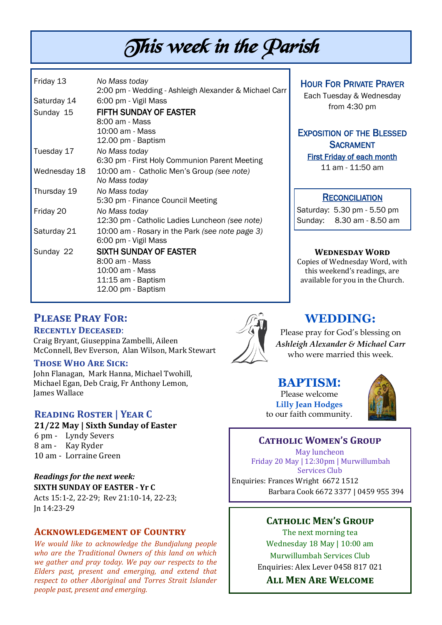# This week in the Parish

| Friday 13    | No Mass today                                         |
|--------------|-------------------------------------------------------|
|              | 2:00 pm - Wedding - Ashleigh Alexander & Michael Carr |
| Saturday 14  | 6:00 pm - Vigil Mass                                  |
| Sunday 15    | <b>FIFTH SUNDAY OF EASTER</b>                         |
|              | 8:00 am - Mass                                        |
|              | 10:00 am - Mass                                       |
|              | 12.00 pm - Baptism                                    |
| Tuesday 17   | No Mass today                                         |
|              | 6:30 pm - First Holy Communion Parent Meeting         |
| Wednesday 18 | 10:00 am - Catholic Men's Group (see note)            |
|              | No Mass today                                         |
| Thursday 19  | No Mass today                                         |
|              | 5:30 pm - Finance Council Meeting                     |
| Friday 20    | No Mass today                                         |
|              | 12:30 pm - Catholic Ladies Luncheon (see note)        |
| Saturday 21  | 10:00 am - Rosary in the Park (see note page 3)       |
|              | 6:00 pm - Vigil Mass                                  |
| Sunday 22    | <b>SIXTH SUNDAY OF EASTER</b>                         |
|              | 8:00 am - Mass                                        |
|              | 10:00 am - Mass                                       |
|              | 11:15 am - Baptism                                    |
|              | 12.00 pm - Baptism                                    |

#### HOUR FOR PRIVATE PRAYER

Each Tuesday & Wednesday from 4:30 pm

# EXPOSITION OF THE BLESSED **SACRAMENT**

First Friday of each month 11 am - 11:50 am

#### **RECONCILIATION**

Saturday: 5.30 pm - 5.50 pm Sunday: 8.30 am - 8.50 am

#### **Wednesday Word**

Copies of Wednesday Word, with this weekend's readings, are available for you in the Church.

#### **Please Pray For:**

#### **Recently Deceased**:

Craig Bryant, Giuseppina Zambelli, Aileen McConnell, Bev Everson, Alan Wilson, Mark Stewart

#### **Those Who Are Sick:**

John Flanagan, Mark Hanna, Michael Twohill, Michael Egan, Deb Craig, Fr Anthony Lemon, James Wallace

#### **Reading Roster | Year C**

**21/22 May | Sixth Sunday of Easter**  6 pm - Lyndy Severs 8 am - Kay Ryder 10 am - Lorraine Green

*Readings for the next week:*  **SIXTH SUNDAY OF EASTER - Yr C** Acts 15:1-2, 22-29; Rev 21:10-14, 22-23; Jn 14:23-29

#### **Acknowledgement of Country**

*We would like to acknowledge the Bundjalung people who are the Traditional Owners of this land on which we gather and pray today. We pay our respects to the Elders past, present and emerging, and extend that respect to other Aboriginal and Torres Strait Islander people past, present and emerging.* 



#### **WEDDING:**

Please pray for God's blessing on *Ashleigh Alexander & Michael Carr* who were married this week.

#### **BAPTISM**:

Please welcome **Lilly Jean Hodges** to our faith community.



#### **Catholic Women's Group**

May luncheon Friday 20 May | 12:30pm | Murwillumbah Services Club Enquiries: Frances Wright 6672 1512 Barbara Cook 6672 3377 | 0459 955 394

#### **Catholic Men's Group**

The next morning tea Wednesday 18 May | 10:00 am Murwillumbah Services Club Enquiries: Alex Lever 0458 817 021

**All Men Are Welcome**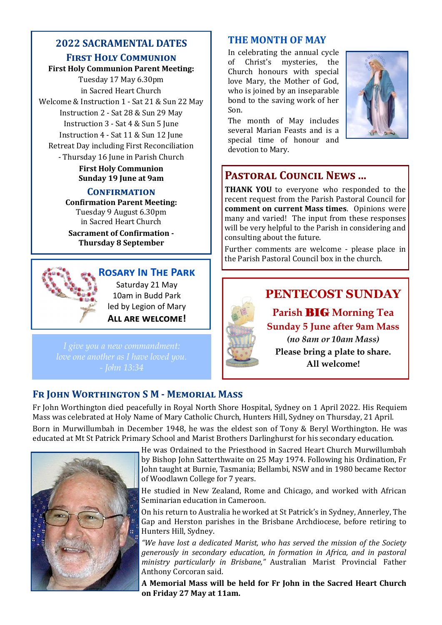# **2022 SACRAMENTAL DATES**

#### **First Holy Communion**

**First Holy Communion Parent Meeting:**

Tuesday 17 May 6.30pm in Sacred Heart Church Welcome & Instruction 1 - Sat 21 & Sun 22 May Instruction 2 - Sat 28 & Sun 29 May Instruction 3 - Sat 4 & Sun 5 June Instruction 4 - Sat 11 & Sun 12 June

Retreat Day including First Reconciliation - Thursday 16 June in Parish Church

> **First Holy Communion Sunday 19 June at 9am**

#### **Confirmation**

**Confirmation Parent Meeting:** Tuesday 9 August 6.30pm in Sacred Heart Church

**Sacrament of Confirmation - Thursday 8 September**



#### **Rosary In The Park**

Saturday 21 May 10am in Budd Park led by Legion of Mary **All are welcome!** 

### **THE MONTH OF MAY**

In celebrating the annual cycle of Christ's mysteries, the Church honours with special love Mary, the Mother of God, who is joined by an inseparable bond to the saving work of her Son.

The month of May includes several Marian Feasts and is a special time of honour and devotion to Mary.



# **Pastoral Council News ...**

**THANK YOU** to everyone who responded to the recent request from the Parish Pastoral Council for **comment on current Mass times**. Opinions were many and varied! The input from these responses will be very helpful to the Parish in considering and consulting about the future.

Further comments are welcome - please place in the Parish Pastoral Council box in the church.



## **Fr John Worthington S M - Memorial Mass**

Fr John Worthington died peacefully in Royal North Shore Hospital, Sydney on 1 April 2022. His Requiem Mass was celebrated at Holy Name of Mary Catholic Church, Hunters Hill, Sydney on Thursday, 21 April. Born in Murwillumbah in December 1948, he was the eldest son of Tony & Beryl Worthington. He was educated at Mt St Patrick Primary School and Marist Brothers Darlinghurst for his secondary education.



He was Ordained to the Priesthood in Sacred Heart Church Murwillumbah by Bishop John Satterthwaite on 25 May 1974. Following his Ordination, Fr John taught at Burnie, Tasmania; Bellambi, NSW and in 1980 became Rector of Woodlawn College for 7 years.

He studied in New Zealand, Rome and Chicago, and worked with African Seminarian education in Cameroon.

On his return to Australia he worked at St Patrick's in Sydney, Annerley, The Gap and Herston parishes in the Brisbane Archdiocese, before retiring to Hunters Hill, Sydney.

*"We have lost a dedicated Marist, who has served the mission of the Society generously in secondary education, in formation in Africa, and in pastoral ministry particularly in Brisbane,"* Australian Marist Provincial Father Anthony Corcoran said.

**A Memorial Mass will be held for Fr John in the Sacred Heart Church on Friday 27 May at 11am.**